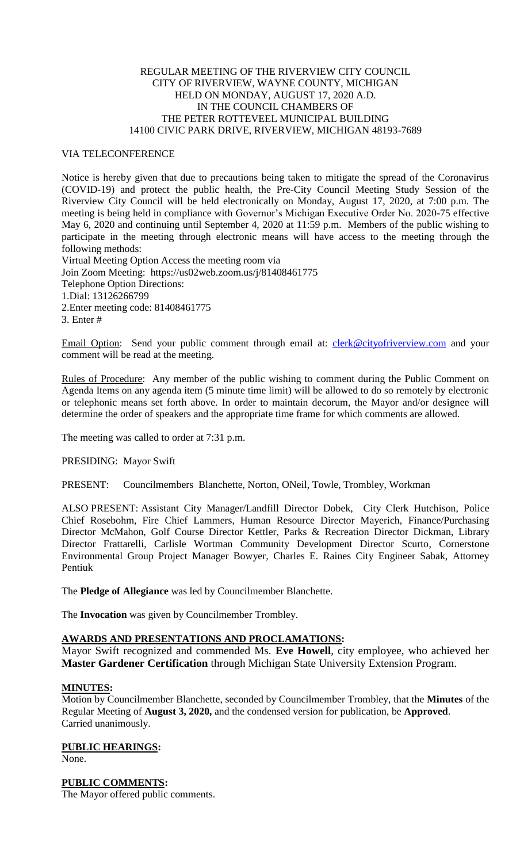## REGULAR MEETING OF THE RIVERVIEW CITY COUNCIL CITY OF RIVERVIEW, WAYNE COUNTY, MICHIGAN HELD ON MONDAY, AUGUST 17, 2020 A.D. IN THE COUNCIL CHAMBERS OF THE PETER ROTTEVEEL MUNICIPAL BUILDING 14100 CIVIC PARK DRIVE, RIVERVIEW, MICHIGAN 48193-7689

## VIA TELECONFERENCE

Notice is hereby given that due to precautions being taken to mitigate the spread of the Coronavirus (COVID-19) and protect the public health, the Pre-City Council Meeting Study Session of the Riverview City Council will be held electronically on Monday, August 17, 2020, at 7:00 p.m. The meeting is being held in compliance with Governor's Michigan Executive Order No. 2020-75 effective May 6, 2020 and continuing until September 4, 2020 at 11:59 p.m. Members of the public wishing to participate in the meeting through electronic means will have access to the meeting through the following methods:

Virtual Meeting Option Access the meeting room via Join Zoom Meeting: https://us02web.zoom.us/j/81408461775 Telephone Option Directions: 1.Dial: 13126266799 2.Enter meeting code: 81408461775 3. Enter #

Email Option: Send your public comment through email at: *clerk@cityofriverview.com* and your comment will be read at the meeting.

Rules of Procedure: Any member of the public wishing to comment during the Public Comment on Agenda Items on any agenda item (5 minute time limit) will be allowed to do so remotely by electronic or telephonic means set forth above. In order to maintain decorum, the Mayor and/or designee will determine the order of speakers and the appropriate time frame for which comments are allowed.

The meeting was called to order at 7:31 p.m.

PRESIDING: Mayor Swift

PRESENT: Councilmembers Blanchette, Norton, ONeil, Towle, Trombley, Workman

ALSO PRESENT: Assistant City Manager/Landfill Director Dobek, City Clerk Hutchison, Police Chief Rosebohm, Fire Chief Lammers, Human Resource Director Mayerich, Finance/Purchasing Director McMahon, Golf Course Director Kettler, Parks & Recreation Director Dickman, Library Director Frattarelli, Carlisle Wortman Community Development Director Scurto, Cornerstone Environmental Group Project Manager Bowyer, Charles E. Raines City Engineer Sabak, Attorney Pentiuk

The **Pledge of Allegiance** was led by Councilmember Blanchette.

The **Invocation** was given by Councilmember Trombley.

# **AWARDS AND PRESENTATIONS AND PROCLAMATIONS:**

Mayor Swift recognized and commended Ms. **Eve Howell**, city employee, who achieved her **Master Gardener Certification** through Michigan State University Extension Program.

#### **MINUTES:**

Motion by Councilmember Blanchette, seconded by Councilmember Trombley, that the **Minutes** of the Regular Meeting of **August 3, 2020,** and the condensed version for publication, be **Approved**. Carried unanimously.

**PUBLIC HEARINGS:** None.

**PUBLIC COMMENTS:**

The Mayor offered public comments.